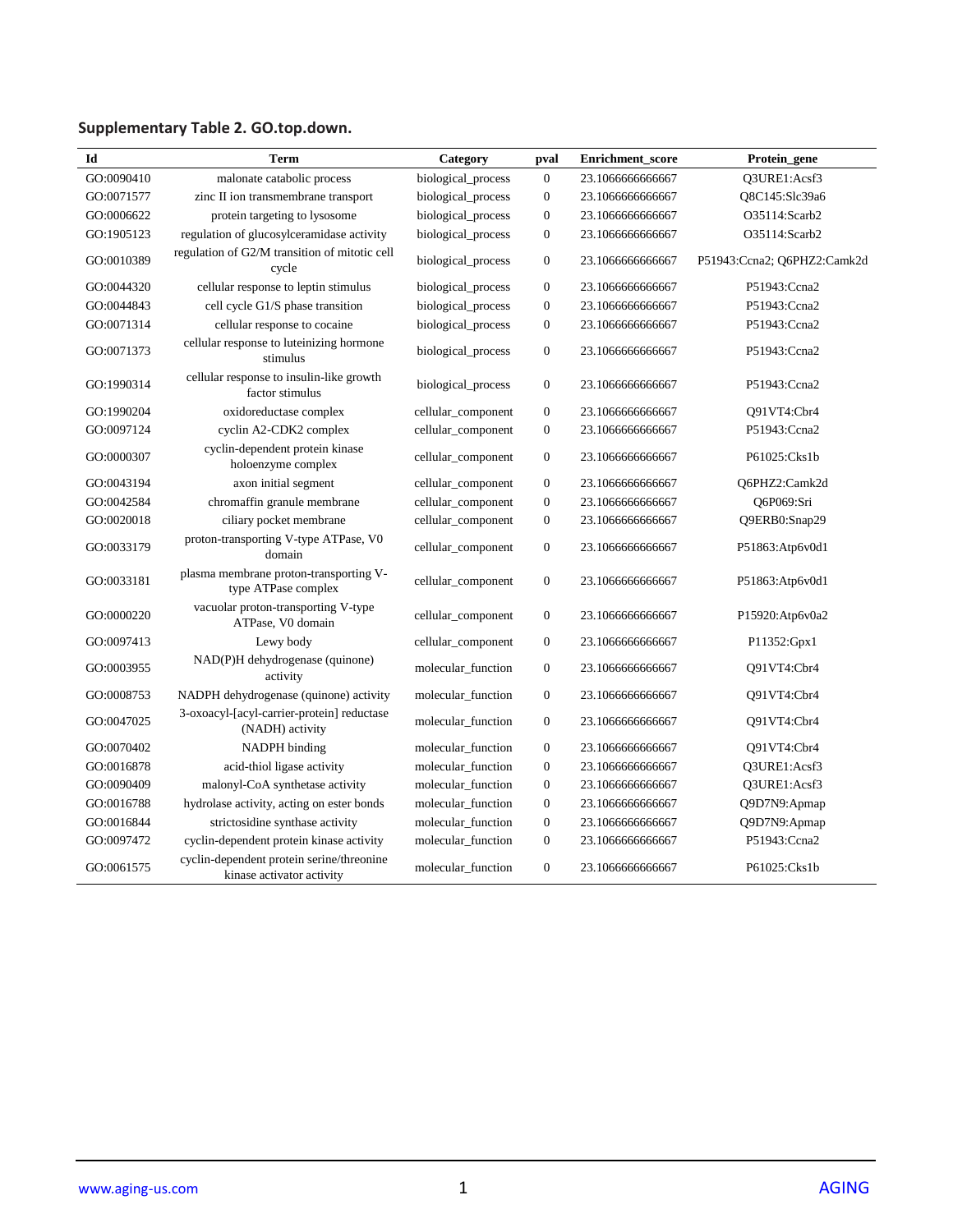## **Supplementary Table 2. GO.top.down.**

| Id         | Term                                                                   | Category           | pval             | <b>Enrichment</b> score | Protein_gene                |
|------------|------------------------------------------------------------------------|--------------------|------------------|-------------------------|-----------------------------|
| GO:0090410 | malonate catabolic process                                             | biological_process | $\boldsymbol{0}$ | 23.1066666666667        | Q3URE1:Acsf3                |
| GO:0071577 | zinc II ion transmembrane transport                                    | biological_process | $\boldsymbol{0}$ | 23.1066666666667        | Q8C145:Slc39a6              |
| GO:0006622 | protein targeting to lysosome                                          | biological_process | $\boldsymbol{0}$ | 23.1066666666667        | O35114:Scarb2               |
| GO:1905123 | regulation of glucosylceramidase activity                              | biological_process | $\boldsymbol{0}$ | 23.1066666666667        | O35114:Scarb2               |
| GO:0010389 | regulation of G2/M transition of mitotic cell<br>cycle                 | biological_process | $\boldsymbol{0}$ | 23.1066666666667        | P51943:Ccna2; Q6PHZ2:Camk2d |
| GO:0044320 | cellular response to leptin stimulus                                   | biological_process | $\boldsymbol{0}$ | 23.1066666666667        | P51943:Ccna2                |
| GO:0044843 | cell cycle G1/S phase transition                                       | biological_process | $\boldsymbol{0}$ | 23.1066666666667        | P51943:Ccna2                |
| GO:0071314 | cellular response to cocaine                                           | biological_process | $\boldsymbol{0}$ | 23.1066666666667        | P51943:Ccna2                |
| GO:0071373 | cellular response to luteinizing hormone<br>stimulus                   | biological_process | $\boldsymbol{0}$ | 23.1066666666667        | P51943:Ccna2                |
| GO:1990314 | cellular response to insulin-like growth<br>factor stimulus            | biological_process | $\boldsymbol{0}$ | 23.1066666666667        | P51943:Ccna2                |
| GO:1990204 | oxidoreductase complex                                                 | cellular_component | $\boldsymbol{0}$ | 23.1066666666667        | O91VT4:Cbr4                 |
| GO:0097124 | cyclin A2-CDK2 complex                                                 | cellular_component | $\boldsymbol{0}$ | 23.1066666666667        | P51943:Ccna2                |
| GO:0000307 | cyclin-dependent protein kinase<br>holoenzyme complex                  | cellular_component | $\boldsymbol{0}$ | 23.1066666666667        | P61025:Cks1b                |
| GO:0043194 | axon initial segment                                                   | cellular_component | $\overline{0}$   | 23.1066666666667        | Q6PHZ2:Camk2d               |
| GO:0042584 | chromaffin granule membrane                                            | cellular_component | $\boldsymbol{0}$ | 23.1066666666667        | O6P069:Sri                  |
| GO:0020018 | ciliary pocket membrane                                                | cellular_component | $\boldsymbol{0}$ | 23.1066666666667        | Q9ERB0:Snap29               |
| GO:0033179 | proton-transporting V-type ATPase, V0<br>domain                        | cellular_component | $\boldsymbol{0}$ | 23.1066666666667        | P51863:Atp6v0d1             |
| GO:0033181 | plasma membrane proton-transporting V-<br>type ATPase complex          | cellular_component | $\boldsymbol{0}$ | 23.1066666666667        | P51863:Atp6v0d1             |
| GO:0000220 | vacuolar proton-transporting V-type<br>ATPase, V0 domain               | cellular_component | $\boldsymbol{0}$ | 23.1066666666667        | P15920:Atp6v0a2             |
| GO:0097413 | Lewy body                                                              | cellular_component | $\boldsymbol{0}$ | 23.1066666666667        | P11352:Gpx1                 |
| GO:0003955 | NAD(P)H dehydrogenase (quinone)<br>activity                            | molecular function | $\boldsymbol{0}$ | 23.1066666666667        | O91VT4:Cbr4                 |
| GO:0008753 | NADPH dehydrogenase (quinone) activity                                 | molecular function | $\boldsymbol{0}$ | 23.1066666666667        | Q91VT4:Cbr4                 |
| GO:0047025 | 3-oxoacyl-[acyl-carrier-protein] reductase<br>(NADH) activity          | molecular_function | $\boldsymbol{0}$ | 23.1066666666667        | Q91VT4:Cbr4                 |
| GO:0070402 | NADPH binding                                                          | molecular_function | $\boldsymbol{0}$ | 23.1066666666667        | Q91VT4:Cbr4                 |
| GO:0016878 | acid-thiol ligase activity                                             | molecular function | $\boldsymbol{0}$ | 23.1066666666667        | Q3URE1:Acsf3                |
| GO:0090409 | malonyl-CoA synthetase activity                                        | molecular_function | $\overline{0}$   | 23.1066666666667        | Q3URE1:Acsf3                |
| GO:0016788 | hydrolase activity, acting on ester bonds                              | molecular_function | $\boldsymbol{0}$ | 23.1066666666667        | Q9D7N9:Apmap                |
| GO:0016844 | strictosidine synthase activity                                        | molecular_function | $\boldsymbol{0}$ | 23.1066666666667        | Q9D7N9:Apmap                |
| GO:0097472 | cyclin-dependent protein kinase activity                               | molecular_function | $\boldsymbol{0}$ | 23.1066666666667        | P51943:Ccna2                |
| GO:0061575 | cyclin-dependent protein serine/threonine<br>kinase activator activity | molecular_function | $\boldsymbol{0}$ | 23.1066666666667        | P61025:Cks1b                |